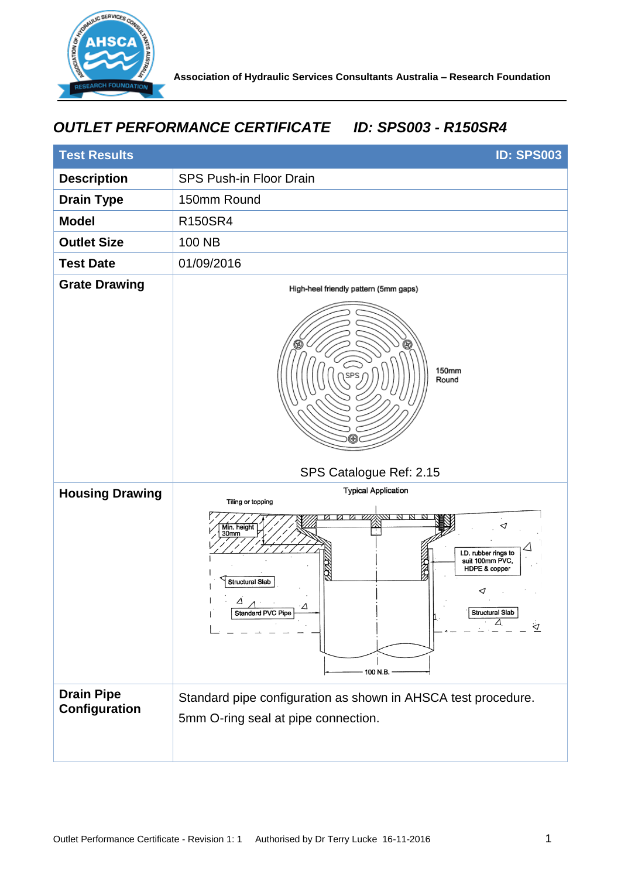

## *OUTLET PERFORMANCE CERTIFICATE ID: SPS003 - R150SR4*